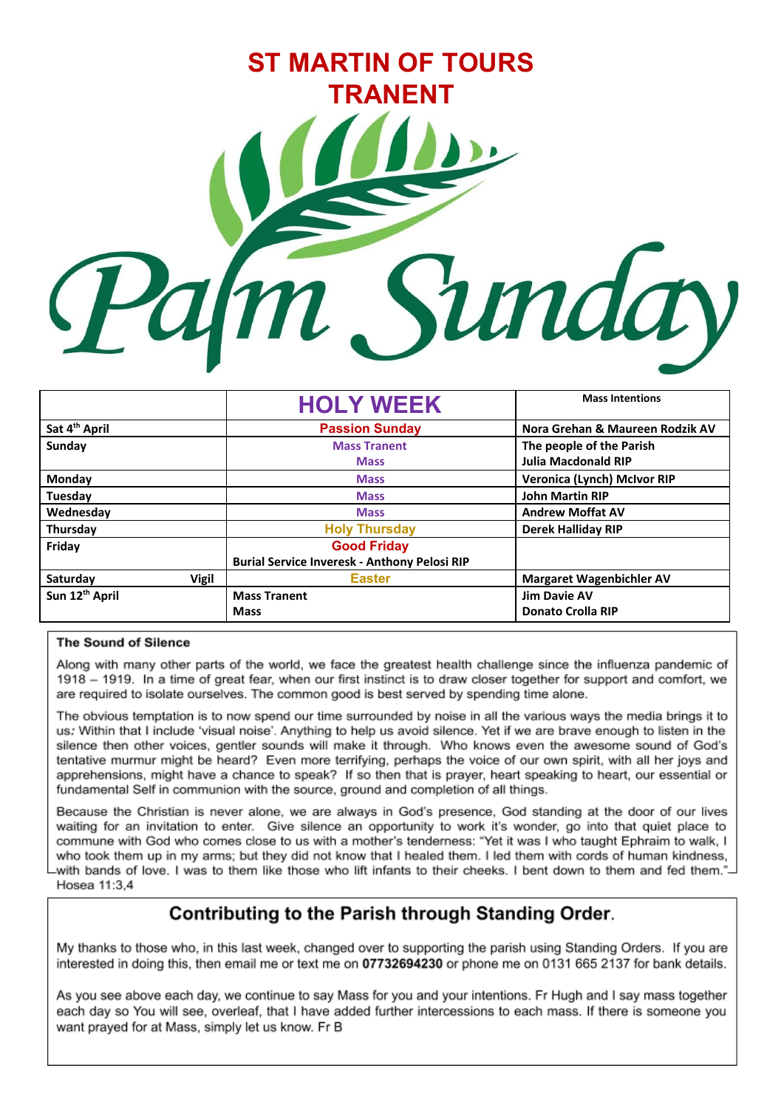

|                           | <b>HOLY WEEK</b>                                    | <b>Mass Intentions</b>          |
|---------------------------|-----------------------------------------------------|---------------------------------|
| Sat 4 <sup>th</sup> April | <b>Passion Sunday</b>                               | Nora Grehan & Maureen Rodzik AV |
| Sunday                    | <b>Mass Tranent</b>                                 | The people of the Parish        |
|                           | <b>Mass</b>                                         | <b>Julia Macdonald RIP</b>      |
| Monday                    | <b>Mass</b>                                         | Veronica (Lynch) McIvor RIP     |
| Tuesday                   | <b>Mass</b>                                         | <b>John Martin RIP</b>          |
| Wednesday                 | <b>Mass</b>                                         | <b>Andrew Moffat AV</b>         |
| Thursday                  | <b>Holy Thursday</b>                                | <b>Derek Halliday RIP</b>       |
| Friday                    | <b>Good Friday</b>                                  |                                 |
|                           | <b>Burial Service Inveresk - Anthony Pelosi RIP</b> |                                 |
| Saturday<br><b>Vigil</b>  | <b>Easter</b>                                       | <b>Margaret Wagenbichler AV</b> |
| Sun 12th April            | <b>Mass Tranent</b>                                 | <b>Jim Davie AV</b>             |
|                           | <b>Mass</b>                                         | <b>Donato Crolla RIP</b>        |

#### **The Sound of Silence**

Along with many other parts of the world, we face the greatest health challenge since the influenza pandemic of 1918 - 1919. In a time of great fear, when our first instinct is to draw closer together for support and comfort, we are required to isolate ourselves. The common good is best served by spending time alone.

The obvious temptation is to now spend our time surrounded by noise in all the various ways the media brings it to us. Within that I include 'visual noise'. Anything to help us avoid silence. Yet if we are brave enough to listen in the silence then other voices, gentler sounds will make it through. Who knows even the awesome sound of God's tentative murmur might be heard? Even more terrifying, perhaps the voice of our own spirit, with all her joys and apprehensions, might have a chance to speak? If so then that is prayer, heart speaking to heart, our essential or fundamental Self in communion with the source, ground and completion of all things.

Because the Christian is never alone, we are always in God's presence, God standing at the door of our lives waiting for an invitation to enter. Give silence an opportunity to work it's wonder, go into that quiet place to commune with God who comes close to us with a mother's tenderness: "Yet it was I who taught Ephraim to walk, I who took them up in my arms; but they did not know that I healed them. I led them with cords of human kindness, -with bands of love. I was to them like those who lift infants to their cheeks. I bent down to them and fed them." Hosea 11:3.4

### Contributing to the Parish through Standing Order.

My thanks to those who, in this last week, changed over to supporting the parish using Standing Orders. If you are interested in doing this, then email me or text me on 07732694230 or phone me on 0131 665 2137 for bank details.

As you see above each day, we continue to say Mass for you and your intentions. Fr Hugh and I say mass together each day so You will see, overleaf, that I have added further intercessions to each mass. If there is someone you want prayed for at Mass, simply let us know. Fr B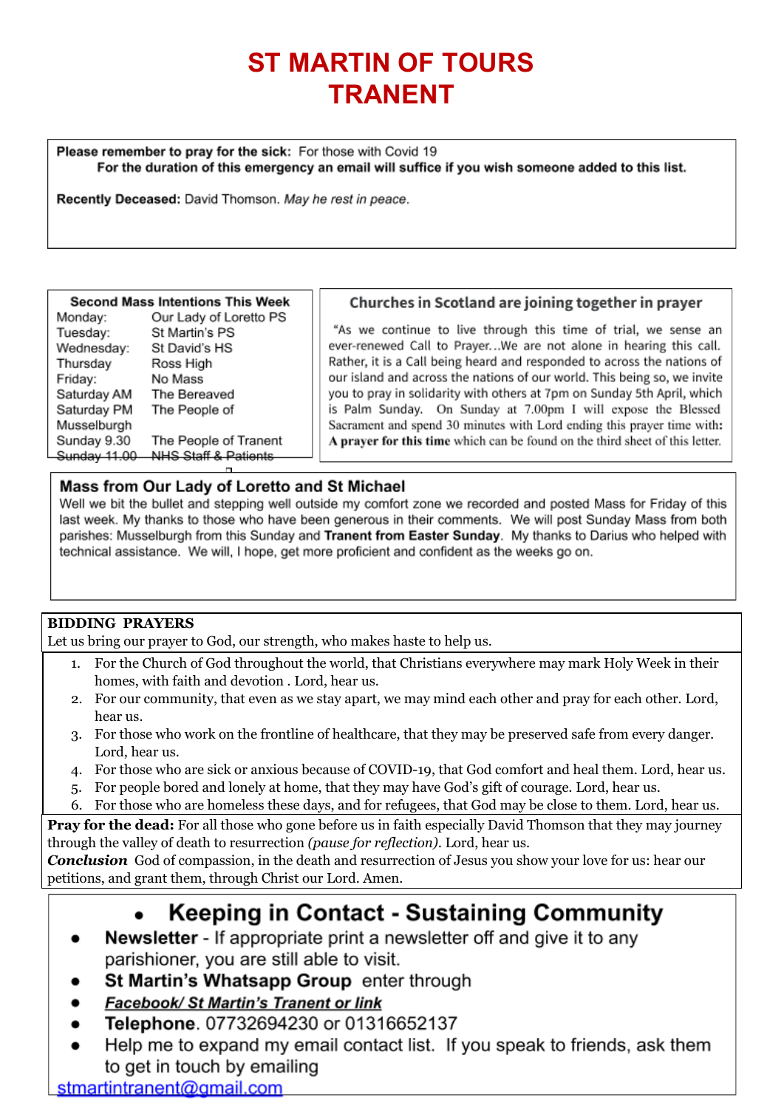# **ST MARTIN OF TOURS TRANENT**

Please remember to pray for the sick: For those with Covid 19 For the duration of this emergency an email will suffice if you wish someone added to this list.

Recently Deceased: David Thomson. May he rest in peace.

#### **Second Mass Intentions This Week**

| Monday:      | Our Lady of Loretto PS          |
|--------------|---------------------------------|
| Tuesday:     | St Martin's PS                  |
| Wednesday:   | St David's HS                   |
| Thursday     | Ross High                       |
| Friday:      | No Mass                         |
| Saturday AM  | The Bereaved                    |
| Saturday PM  | The People of                   |
| Musselburgh  |                                 |
| Sunday 9.30  | The People of Tranent           |
| Sunday 11,00 | <b>NHS Staff &amp; Patients</b> |
|              |                                 |

#### Churches in Scotland are joining together in prayer

"As we continue to live through this time of trial, we sense an ever-renewed Call to Prayer...We are not alone in hearing this call. Rather, it is a Call being heard and responded to across the nations of our island and across the nations of our world. This being so, we invite you to pray in solidarity with others at 7pm on Sunday 5th April, which is Palm Sunday. On Sunday at 7.00pm I will expose the Blessed Sacrament and spend 30 minutes with Lord ending this prayer time with: A prayer for this time which can be found on the third sheet of this letter.

#### Mass from Our Lady of Loretto and St Michael

Well we bit the bullet and stepping well outside my comfort zone we recorded and posted Mass for Friday of this last week. My thanks to those who have been generous in their comments. We will post Sunday Mass from both parishes: Musselburgh from this Sunday and Tranent from Easter Sunday. My thanks to Darius who helped with technical assistance. We will, I hope, get more proficient and confident as the weeks go on.

#### **BIDDING PRAYERS**

Let us bring our prayer to God, our strength, who makes haste to help us.

- 1. For the Church of God throughout the world, that Christians everywhere may mark Holy Week in their homes, with faith and devotion *.* Lord, hear us.
- 2. For our community, that even as we stay apart, we may mind each other and pray for each other*.* Lord, hear us.
- 3. For those who work on the frontline of healthcare, that they may be preserved safe from every danger*.* Lord, hear us.
- 4. For those who are sick or anxious because of COVID-19, that God comfort and heal them. Lord, hear us.
- 5. For people bored and lonely at home, that they may have God's gift of courage*.* Lord, hear us.
- 6. For those who are homeless these days, and for refugees, that God may be close to them. Lord, hear us.

**Pray for the dead:** For all those who gone before us in faith especially David Thomson that they may journey through the valley of death to resurrection *(pause for reflection).* Lord, hear us.

**Conclusion** God of compassion, in the death and resurrection of Jesus you show your love for us: hear our petitions, and grant them, through Christ our Lord. Amen.

## Keeping in Contact - Sustaining Community

- **Newsletter** If appropriate print a newsletter off and give it to any parishioner, you are still able to visit.
- St Martin's Whatsapp Group enter through
- Facebook/ St Martin's Tranent or link
- Telephone. 07732694230 or 01316652137
- Help me to expand my email contact list. If you speak to friends, ask them to get in touch by emailing

stmartintranent@gmail.com